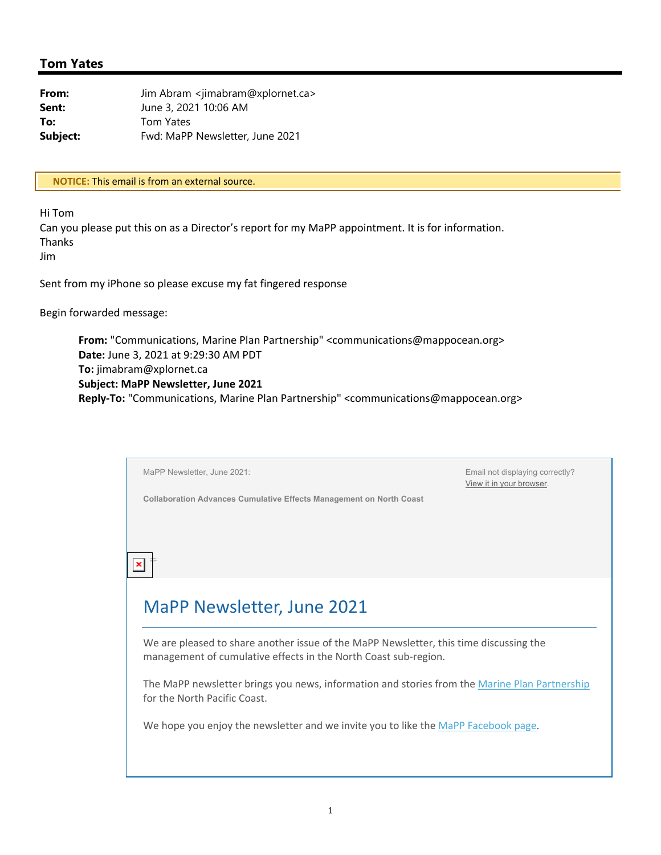## **Tom Yates**

| From:    | Jim Abram <jimabram@xplornet.ca></jimabram@xplornet.ca> |  |
|----------|---------------------------------------------------------|--|
| Sent:    | June 3, 2021 10:06 AM                                   |  |
| To:      | Tom Yates                                               |  |
| Subject: | Fwd: MaPP Newsletter, June 2021                         |  |

**\*\* NOTICE:** This email is from an external source.**\*\***

Hi Tom

Can you please put this on as a Director's report for my MaPP appointment. It is for information. Thanks

Jim

Sent from my iPhone so please excuse my fat fingered response

Begin forwarded message:

**From:** "Communications, Marine Plan Partnership" <communications@mappocean.org> **Date:** June 3, 2021 at 9:29:30 AM PDT **To:** jimabram@xplornet.ca **Subject: MaPP Newsletter, June 2021 Reply‐To:** "Communications, Marine Plan Partnership" <communications@mappocean.org>

|  | MaPP Newsletter, June 2021:                                                                                                                               | Email not displaying correctly?<br>View it in your browser. |  |
|--|-----------------------------------------------------------------------------------------------------------------------------------------------------------|-------------------------------------------------------------|--|
|  | <b>Collaboration Advances Cumulative Effects Management on North Coast</b>                                                                                |                                                             |  |
|  |                                                                                                                                                           |                                                             |  |
|  |                                                                                                                                                           |                                                             |  |
|  |                                                                                                                                                           |                                                             |  |
|  |                                                                                                                                                           |                                                             |  |
|  | <b>MaPP Newsletter, June 2021</b>                                                                                                                         |                                                             |  |
|  |                                                                                                                                                           |                                                             |  |
|  | We are pleased to share another issue of the MaPP Newsletter, this time discussing the<br>management of cumulative effects in the North Coast sub-region. |                                                             |  |
|  | The MaPP newsletter brings you news, information and stories from the Marine Plan Partnership                                                             |                                                             |  |
|  | for the North Pacific Coast.                                                                                                                              |                                                             |  |
|  | We hope you enjoy the newsletter and we invite you to like the MaPP Facebook page.                                                                        |                                                             |  |
|  |                                                                                                                                                           |                                                             |  |
|  |                                                                                                                                                           |                                                             |  |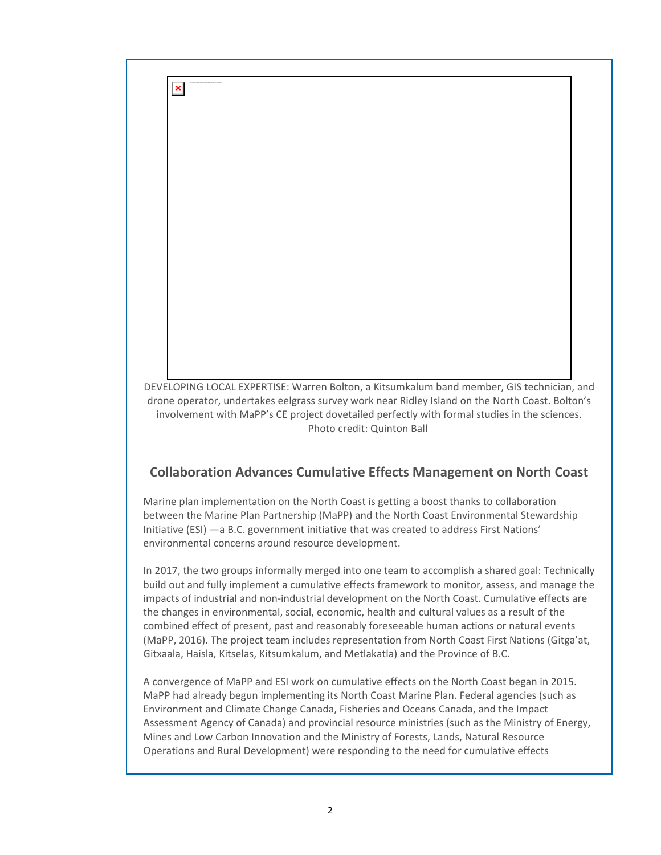DEVELOPING LOCAL EXPERTISE: Warren Bolton, a Kitsumkalum band member, GIS technician, and drone operator, undertakes eelgrass survey work near Ridley Island on the North Coast. Bolton's involvement with MaPP's CE project dovetailed perfectly with formal studies in the sciences. Photo credit: Quinton Ball

 $\pmb{\times}$ 

## **Collaboration Advances Cumulative Effects Management on North Coast**

Marine plan implementation on the North Coast is getting a boost thanks to collaboration between the Marine Plan Partnership (MaPP) and the North Coast Environmental Stewardship Initiative (ESI) —a B.C. government initiative that was created to address First Nations' environmental concerns around resource development.

In 2017, the two groups informally merged into one team to accomplish a shared goal: Technically build out and fully implement a cumulative effects framework to monitor, assess, and manage the impacts of industrial and non-industrial development on the North Coast. Cumulative effects are the changes in environmental, social, economic, health and cultural values as a result of the combined effect of present, past and reasonably foreseeable human actions or natural events (MaPP, 2016). The project team includes representation from North Coast First Nations (Gitga'at, Gitxaala, Haisla, Kitselas, Kitsumkalum, and Metlakatla) and the Province of B.C.

A convergence of MaPP and ESI work on cumulative effects on the North Coast began in 2015. MaPP had already begun implementing its North Coast Marine Plan. Federal agencies (such as Environment and Climate Change Canada, Fisheries and Oceans Canada, and the Impact Assessment Agency of Canada) and provincial resource ministries (such as the Ministry of Energy, Mines and Low Carbon Innovation and the Ministry of Forests, Lands, Natural Resource Operations and Rural Development) were responding to the need for cumulative effects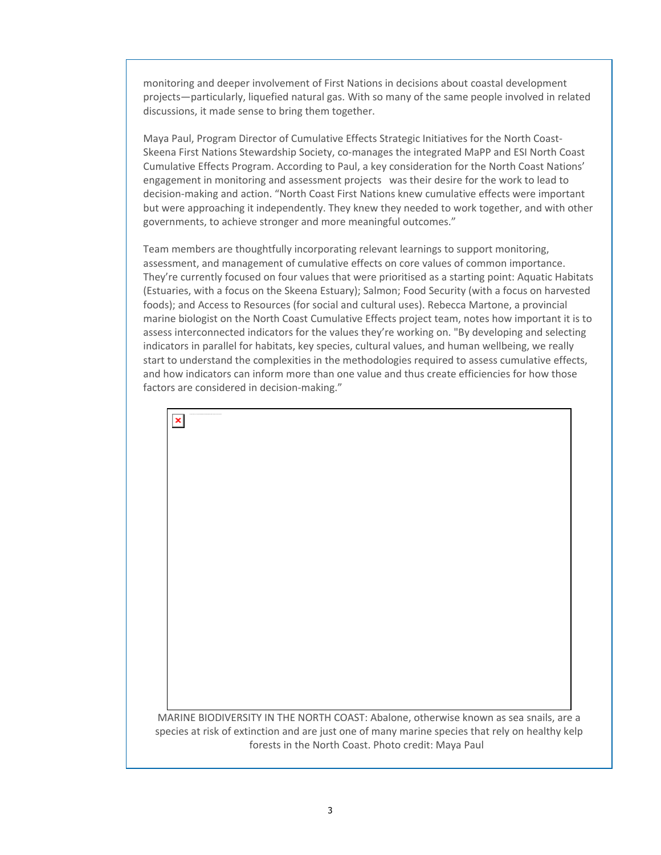monitoring and deeper involvement of First Nations in decisions about coastal development projects—particularly, liquefied natural gas. With so many of the same people involved in related discussions, it made sense to bring them together.

Maya Paul, Program Director of Cumulative Effects Strategic Initiatives for the North Coast‐ Skeena First Nations Stewardship Society, co-manages the integrated MaPP and ESI North Coast Cumulative Effects Program. According to Paul, a key consideration for the North Coast Nations' engagement in monitoring and assessment projects was their desire for the work to lead to decision‐making and action. "North Coast First Nations knew cumulative effects were important but were approaching it independently. They knew they needed to work together, and with other governments, to achieve stronger and more meaningful outcomes."

Team members are thoughtfully incorporating relevant learnings to support monitoring, assessment, and management of cumulative effects on core values of common importance. They're currently focused on four values that were prioritised as a starting point: Aquatic Habitats (Estuaries, with a focus on the Skeena Estuary); Salmon; Food Security (with a focus on harvested foods); and Access to Resources (for social and cultural uses). Rebecca Martone, a provincial marine biologist on the North Coast Cumulative Effects project team, notes how important it is to assess interconnected indicators for the values they're working on. "By developing and selecting indicators in parallel for habitats, key species, cultural values, and human wellbeing, we really start to understand the complexities in the methodologies required to assess cumulative effects, and how indicators can inform more than one value and thus create efficiencies for how those factors are considered in decision‐making."

 $\pmb{\times}$ 

MARINE BIODIVERSITY IN THE NORTH COAST: Abalone, otherwise known as sea snails, are a species at risk of extinction and are just one of many marine species that rely on healthy kelp forests in the North Coast. Photo credit: Maya Paul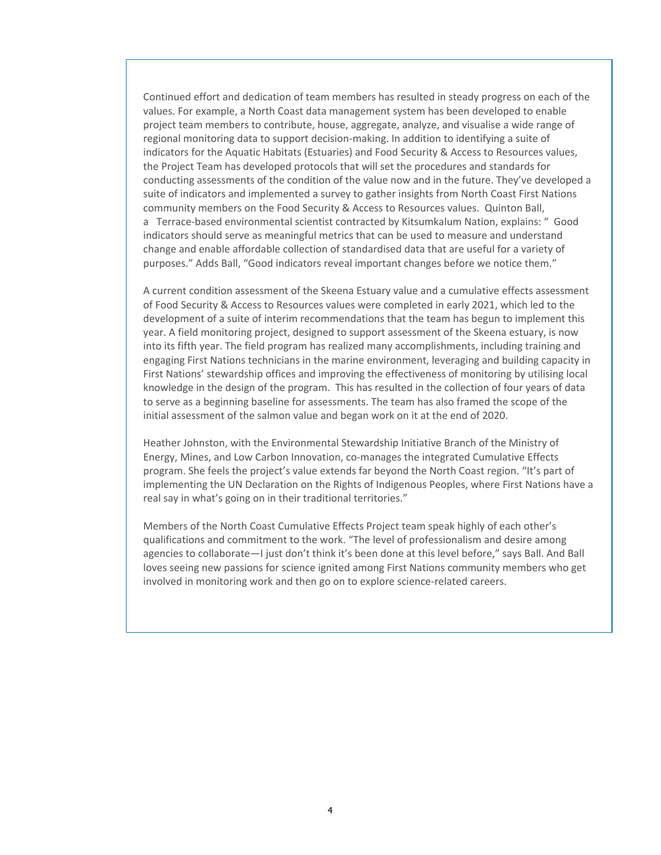Continued effort and dedication of team members has resulted in steady progress on each of the values. For example, a North Coast data management system has been developed to enable project team members to contribute, house, aggregate, analyze, and visualise a wide range of regional monitoring data to support decision-making. In addition to identifying a suite of indicators for the Aquatic Habitats (Estuaries) and Food Security & Access to Resources values, the Project Team has developed protocols that will set the procedures and standards for conducting assessments of the condition of the value now and in the future. They've developed a suite of indicators and implemented a survey to gather insights from North Coast First Nations community members on the Food Security & Access to Resources values. Quinton Ball, a Terrace‐based environmental scientist contracted by Kitsumkalum Nation, explains: " Good indicators should serve as meaningful metrics that can be used to measure and understand change and enable affordable collection of standardised data that are useful for a variety of purposes." Adds Ball, "Good indicators reveal important changes before we notice them."

A current condition assessment of the Skeena Estuary value and a cumulative effects assessment of Food Security & Access to Resources values were completed in early 2021, which led to the development of a suite of interim recommendations that the team has begun to implement this year. A field monitoring project, designed to support assessment of the Skeena estuary, is now into its fifth year. The field program has realized many accomplishments, including training and engaging First Nations technicians in the marine environment, leveraging and building capacity in First Nations' stewardship offices and improving the effectiveness of monitoring by utilising local knowledge in the design of the program. This has resulted in the collection of four years of data to serve as a beginning baseline for assessments. The team has also framed the scope of the initial assessment of the salmon value and began work on it at the end of 2020.

Heather Johnston, with the Environmental Stewardship Initiative Branch of the Ministry of Energy, Mines, and Low Carbon Innovation, co-manages the integrated Cumulative Effects program. She feels the project's value extends far beyond the North Coast region. "It's part of implementing the UN Declaration on the Rights of Indigenous Peoples, where First Nations have a real say in what's going on in their traditional territories."

Members of the North Coast Cumulative Effects Project team speak highly of each other's qualifications and commitment to the work. "The level of professionalism and desire among agencies to collaborate—I just don't think it's been done at this level before," says Ball. And Ball loves seeing new passions for science ignited among First Nations community members who get involved in monitoring work and then go on to explore science-related careers.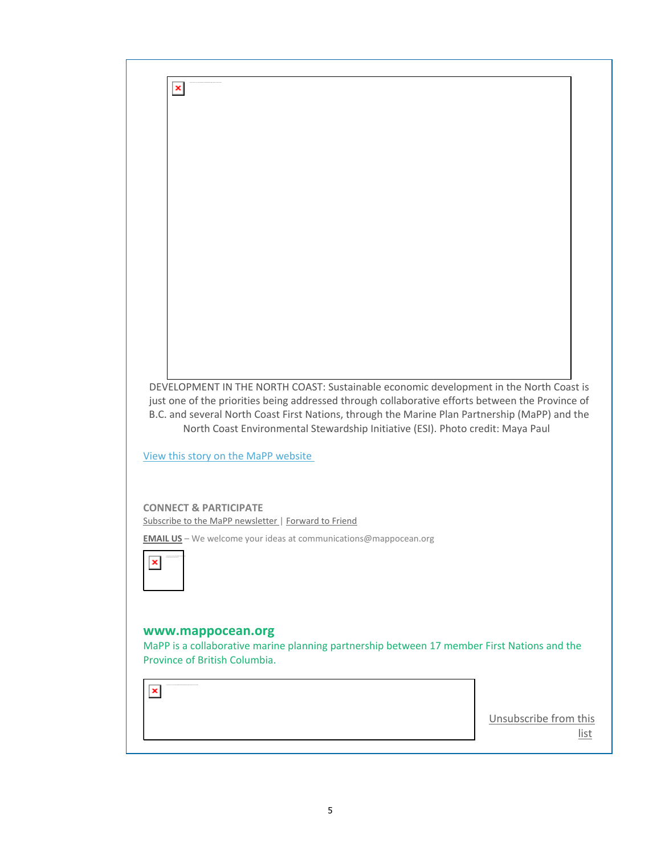

5